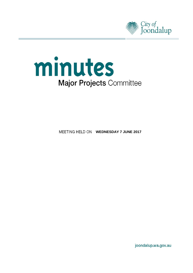



**MEETING HELD ON WEDNESDAY 7 JUNE 2017** 

joondalup.wa.gov.au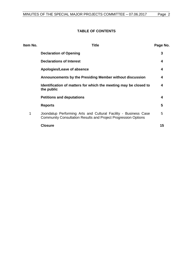## **TABLE OF CONTENTS**

| Item No. | <b>Title</b>                                                                                                                      | Page No. |
|----------|-----------------------------------------------------------------------------------------------------------------------------------|----------|
|          | <b>Declaration of Opening</b>                                                                                                     | 3        |
|          | <b>Declarations of Interest</b>                                                                                                   | 4        |
|          | Apologies/Leave of absence                                                                                                        | 4        |
|          | Announcements by the Presiding Member without discussion                                                                          | 4        |
|          | Identification of matters for which the meeting may be closed to<br>the public                                                    | 4        |
|          | <b>Petitions and deputations</b>                                                                                                  | 4        |
|          | <b>Reports</b>                                                                                                                    | 5        |
| 1        | Joondalup Performing Arts and Cultural Facility - Business Case<br>Community Consultation Results and Project Progression Options | 5        |
|          | <b>Closure</b>                                                                                                                    | 15       |
|          |                                                                                                                                   |          |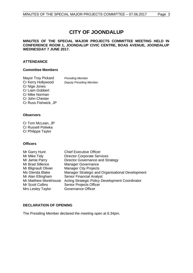# **CITY OF JOONDALUP**

### **MINUTES OF THE SPECIAL MAJOR PROJECTS COMMITTEE MEETING HELD IN CONFERENCE ROOM 1, JOONDALUP CIVIC CENTRE, BOAS AVENUE, JOONDALUP WEDNESDAY 7 JUNE 2017.**

### **ATTENDANCE**

## **Committee Members**

| Mayor Troy Pickard   | <b>Presiding Member</b>        |
|----------------------|--------------------------------|
| Cr Kerry Hollywood   | <b>Deputy Presiding Member</b> |
| Cr Nige Jones        |                                |
| Cr Liam Gobbert      |                                |
| Cr Mike Norman       |                                |
| Cr John Chester      |                                |
| Cr Russ Fishwick, JP |                                |

#### **Observers**

Cr Tom McLean, JP Cr Russell Poliwka Cr Philippa Taylor

#### **Officers**

| <b>Chief Executive Officer</b>                   |
|--------------------------------------------------|
| <b>Director Corporate Services</b>               |
| Director Governance and Strategy                 |
| <b>Manager Governance</b>                        |
| <b>Manager City Projects</b>                     |
| Manager Strategic and Organisational Development |
| <b>Senior Financial Analyst</b>                  |
| Acting Strategic Policy Development Coordinator  |
| Senior Projects Officer                          |
| <b>Governance Officer</b>                        |
|                                                  |

## <span id="page-2-0"></span>**DECLARATION OF OPENING**

The Presiding Member declared the meeting open at 6.34pm.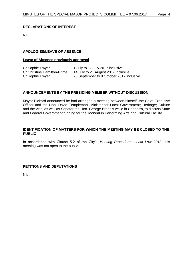## <span id="page-3-0"></span>**DECLARATIONS OF INTEREST**

Nil.

## <span id="page-3-1"></span>**APOLOGIES/LEAVE OF ABSENCE**

#### **Leave of Absence previously approved**

| Cr Sophie Dwyer                    | 1 July to 17 July 2017 inclusive;         |
|------------------------------------|-------------------------------------------|
| <b>Cr Christine Hamilton-Prime</b> | 14 July to 21 August 2017 inclusive;      |
| Cr Sophie Dwyer                    | 23 September to 8 October 2017 inclusive. |

## <span id="page-3-2"></span>**ANNOUNCEMENTS BY THE PRESIDING MEMBER WITHOUT DISCUSSION**

Mayor Pickard announced he had arranged a meeting between himself, the Chief Executive Officer and the Hon. David Templeman, Minister for Local Government; Heritage; Culture and the Arts, as well as Senator the Hon. George Brandis while in Canberra, to discuss State and Federal Government funding for the Joondalup Performing Arts and Cultural Facility.

## <span id="page-3-3"></span>**IDENTIFICATION OF MATTERS FOR WHICH THE MEETING MAY BE CLOSED TO THE PUBLIC**

In accordance with Clause 5.2 of the City's *Meeting Procedures Local Law 2013*, this meeting was not open to the public.

## <span id="page-3-4"></span>**PETITIONS AND DEPUTATIONS**

Nil.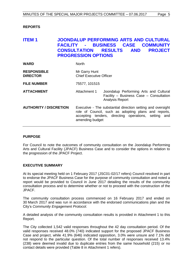## <span id="page-4-0"></span>**REPORTS**

## <span id="page-4-1"></span>**ITEM 1 JOONDALUP PERFORMING ARTS AND CULTURAL FACILITY - BUSINESS CASE COMMUNITY CONSULTATION RESULTS AND PROJECT PROGRESSION OPTIONS**

| <b>WARD</b>                           | <b>North</b>                                    |                                                                                                                                                                             |
|---------------------------------------|-------------------------------------------------|-----------------------------------------------------------------------------------------------------------------------------------------------------------------------------|
| <b>RESPONSIBLE</b><br><b>DIRECTOR</b> | Mr Garry Hunt<br><b>Chief Executive Officer</b> |                                                                                                                                                                             |
| <b>FILE NUMBER</b>                    | 75577, 101515                                   |                                                                                                                                                                             |
| <b>ATTACHMENT</b>                     | Attachment 1                                    | Joondalup Performing Arts and Cultural<br>Facility - Business Case - Consultation<br><b>Analysis Report</b>                                                                 |
| <b>AUTHORITY / DISCRETION</b>         | amending budget                                 | Executive - The substantial direction setting and oversight<br>role of Council, such as adopting plans and reports,<br>accepting tenders, directing operations, setting and |

#### **PURPOSE**

For Council to note the outcomes of community consultation on the Joondalup Performing Arts and Cultural Facility (JPACF) Business Case and to consider the options in relation to the progression of the JPACF Project.

#### **EXECUTIVE SUMMARY**

At its special meeting held on 1 February 2017 (JSC01-02/17 refers) Council resolved in part to endorse the JPACF Business Case for the purpose of community consultation and noted a report would be provided to Council in June 2017 detailing the results of the community consultation process and to determine whether or not to proceed with the construction of the JPACF.

The community consultation process commenced on 16 February 2017 and ended on 30 March 2017 and was run in accordance with the endorsed communications plan and the City's *Community Engagement Protocol*.

A detailed analysis of the community consultation results is provided in Attachment 1 to this Report.

The City collected 1,542 valid responses throughout the 42 day consultation period. Of the valid responses received 48.0% (740) indicated support for the proposed JPACF Business Case and project, while 41.9% (646) indicated opposition, 3.0% were unsure and 7.1% did not respond to the particular question. Of the total number of responses received 13.4% (238) were deemed invalid due to duplicate entries from the same household (215) or no contact details were provided (Table 8 in Attachment 1 refers).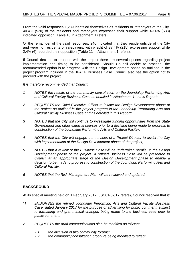From the valid responses 1,289 identified themselves as residents or ratepayers of the City. 40.4% (520) of the residents and ratepayers expressed their support while 49.4% (638) indicated opposition (Table 10 in Attachment 1 refers).

Of the remainder of the valid responses, 246 indicated that they reside outside of the City and were not residents or ratepayers, with a split of 87.4% (215) expressing support while 2.4% (6) recorded their opposition (Table 11 in Attachment 1 refers).

If Council decides to proceed with the project there are several options regarding project implementation and timing to be considered. Should Council decide to proceed, the recommended option is to progress with the Design Development phase as outlined in the project program included in the JPACF Business Case. Council also has the option not to proceed with the project.

*It is therefore recommended that Council:*

- *1 NOTES the results of the community consultation on the Joondalup Performing Arts and Cultural Facility Business Case as detailed in Attachment 1 to this Report;*
- *2 REQUESTS the Chief Executive Officer to initiate the Design Development phase of the project as outlined in the project program in the Joondalup Performing Arts and Cultural Facility Business Case and as detailed in this Report;*
- *3 NOTES that the City will continue to investigate funding opportunities from the State Government and other external sources prior to a decision being made to progress to construction of the Joondalup Performing Arts and Cultural Facility;*
- *4 NOTES that the City will engage the services of a Project Director to assist the City with implementation of the Design Development phase of the project;*
- *5 NOTES that a review of the Business Case will be undertaken parallel to the Design Development phase of the project. A refined Business Case will be presented to Council at an appropriate stage of the Design Development phase to enable a decision to be made to progress to construction of the Joondalup Performing Arts and Cultural Facility;*
- *6 NOTES that the Risk Management Plan will be reviewed and updated.*

## **BACKGROUND**

At its special meeting held on 1 February 2017 (JSC01-02/17 refers), Council resolved that it:

- *"1 ENDORSES the refined Joondalup Performing Arts and Cultural Facility Business Case, dated January 2017 for the purpose of advertising for public comment, subject to formatting and grammatical changes being made to the business case prior to public comment;*
- *2 REQUESTS the draft communications plan be modified as follows:*
	- *2.1 the inclusion of two community forums;*
	- *2.2 the community consultation brochure being modified to reflect:*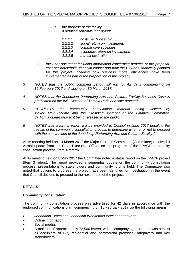- *2.2.1 the purpose of the facility;*
- *2.2.2 a detailed schedule identifying:*
	- *2.2.2.1 costs per household;*
	- *2.2.2.2 social return on investment;*
	- *2.2.2.3 comparative subsidies;*
	- *2.2.2.4 economic return on investment;*
	- *2.2.2.5 benefit cost ratio;*
- *2.3 the FAQ document including information concerning benefits of the proposal, cost per household, financial impact and how the City has financially planned for this project, including how business model efficiencies have been implemented as part of the preparation of this project;*
- *3 NOTES that the public comment period will run for 42 days commencing on 16 February 2017 and closing on 30 March 2017;*
- *4 NOTES that the Joondalup Performing Arts and Cultural Facility Business Case is predicated on the full utilisation of Tamala Park land sale proceeds;*
- *5 REQUESTS the community consultation material being viewed by Mayor Troy Pickard and the Presiding Member of the Finance Committee, Cr Tom McLean prior to it being released to the public;*
- *6 NOTES that a further report will be provided to Council in June 2017 detailing the results of the community consultation process to determine whether or not to proceed with the construction of the Joondalup Performing Arts and Cultural Facility."*

At its meeting held on 13 March 2017 the Major Projects Committee (Committee) received a verbal update from the Chief Executive Officer on the progress of the JPACF community consultation process (Item 4 refers).

At its meeting held on 8 May 2017 the Committee noted a status report on the JPACF project (Item 3 refers). The report provided a sequential update on the community consultation process, presentations to stakeholders and community forums held. The Committee also noted that options to progress the project have been identified for investigation in the event that Council decides to proceed to the next phase of the project.

## **DETAILS**

## **Community Consultation**

The community consultation process was advertised for 42 days in accordance with the endorsed communications plan, commencing on 16 February 2017 via the following means:

- *Joondalup Times* and *Joondalup Weekender* newspaper adverts.
- Online information.
- Social media.
- A mail-out of approximately 72,500 letters, with accompanying brochures was sent to all occupiers of City residential and commercial premises, ratepayers and key stakeholders.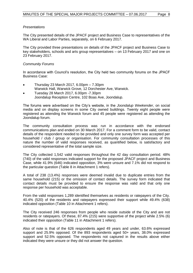#### *Presentations*

The City presented details of the JPACF project and Business Case to representatives of the WA Liberal and Labor Parties, separately, on 6 February 2017.

The City provided three presentations on details of the JPACF project and Business Case to key stakeholders, schools and arts group representatives – on 13 February 2017 and one on 23 February 2017.

#### *Community Forums*

In accordance with Council's resolution, the City held two community forums on the JPACF Business Case:

- Thursday 23 March 2017, 6.00pm 7.30pm Warwick Hall, Warwick Grove, 12 Dorchester Ave, Warwick.
- Tuesday 28 March 2017, 6.00pm -7.30pm Joondalup Reception Centre, 102 Boas Ave, Joondalup.

The forums were advertised on the City's website, in the *Joondalup Weekender*, on social media and on display screens in some City owned buildings. Twenty eight people were registered as attending the Warwick forum and 45 people were registered as attending the Joondalup forum.

The community consultation process was run in accordance with the endorsed communications plan and ended on 30 March 2017. For a comment form to be valid, contact details of the respondent needed to be provided and only one survey form was accepted per household / club / group or organisation. For community consultation processes of this nature the number of valid responses received, as quantified below, is satisfactory and considered representative of the total sample size.

The City collected 1,542 valid responses throughout the 42 day consultation period. 48% (740) of the valid responses indicated support for the proposed JPACF project and Business Case, while 41.9% (646) indicated opposition, 3% were unsure and 7.1% did not respond to the particular question (Table 8 in Attachment 1 refers).

A total of 238 (13.4%) responses were deemed invalid due to duplicate entries from the same household (215) or the omission of contact details. The survey form indicated that contact details must be provided to ensure the response was valid and that only one response per household was acceptable.

From the valid responses 1,289 identified themselves as residents or ratepayers of the City. 40.4% (520) of the residents and ratepayers expressed their support while 49.4% (638) indicated opposition (Table 10 in Attachment 1 refers).

The City received 246 responses from people who reside outside of the City and are not residents or ratepayers. Of these, 87.4% (215) were supportive of the project while 2.5% (6) indicated their opposition (Table 11 in Attachment 1 refers).

Also of note is that of the 626 respondents aged 49 years and under, 63.6% expressed support and 25.9% opposed. Of the 893 respondents aged 50+ years, 38.0% expressed support and 52.5% opposed. The respondents not captured in the results above either indicated they were unsure or they did not answer the question.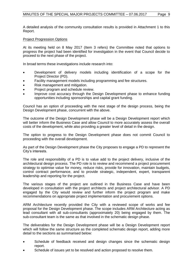A detailed analysis of the community consultation results is provided in Attachment 1 to this Report.

### Project Progression Options

At its meeting held on 8 May 2017 (Item 3 refers) the Committee noted that options to progress the project had been identified for investigation in the event that Council decide to proceed to the next phase of the project.

In broad terms these investigations include research into:

- Development of delivery models including identification of a scope for the Project Director (PD).
- Facility management models including programming and fee structures.
- Risk management and mitigation.
- Project program and schedule review.
- Improve cost accuracy through the Design Development phase to enhance funding opportunities including sponsorships and capital grant funding.

Council has an option of proceeding with the next stage of the design process, being the Design Development phase, concurrent with the above.

The outcome of the Design Development phase will be a Design Development report which will better inform the Business Case and allow Council to more accurately assess the overall costs of the development, while also providing a greater level of detail in the design.

The option to progress to the Design Development phase does not commit Council to proceeding with the overall development.

As part of the Design Development phase the City proposes to engage a PD to represent the City's interests.

The role and responsibility of a PD is to value add to the project delivery, inclusive of the architectural design process. The PD role is to review and recommend a project procurement strategy to optimise value for money, reduce risks, provide for innovation, maintain budgets, control contract performance, and to provide strategic, independent, expert, transparent leadership and reporting for the project.

The various stages of the project are outlined in the Business Case and have been developed in consultation with the project architects and project architectural advisor. A PD engaged by the City would review and further inform the project program and make recommendations on appropriate project implementation and procurement options.

ARM Architecture recently provided the City with a reviewed scope of works and fee proposal for the Design Development phase. The scope includes ARM Architecture acting as lead consultant with all sub-consultants (approximately 20) being engaged by them. The sub-consultant team is the same as that involved in the schematic design phase.

The deliverables for the Design Development phase will be a Design Development report which will follow the same structure as the completed schematic design report, adding more detail to the sections as summarised below:

- Schedule of feedback received and design changes since the schematic design report.
- Schedule of issues yet to be resolved and action proposed to resolve them.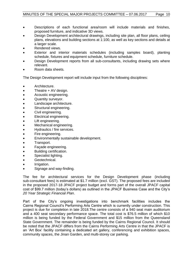- Descriptions of each functional area/room will include materials and finishes, proposed furniture, and indicative 3D views.
- Design Development architectural drawings, including site plan, all floor plans, ceiling plans, elevations and building sections at 1:100, as well as key sections and details at a larger scale.
- Rendered views.
- Exterior and interior materials schedules (including samples board), planting schedule, fixtures and equipment schedule, furniture schedule.
- Design Development reports from all sub-consultants, including drawing sets where relevant.
- Room data sheets.

The Design Development report will include input from the following disciplines:

- Architecture.
- Theatre + AV design.
- Acoustic engineering.
- Quantity surveyor.
- Landscape architecture.
- Structural engineering.
- Civil engineering.
- Electrical engineering.
- Lift engineering.
- Mechanical engineering.
- Hydraulics / fire services.
- Fire engineering.
- Environmentally sustainable development.
- Transport.
- Façade engineering.
- Building certification.
- Specialist lighting.
- **•** Geotechnical.
- Irrigation.
- Signage and way-finding.

The fee for architectural services for the Design Development phase (including sub-consultant fees) is estimated at \$1.7 million (excl. GST). The proposed fees are included in the proposed 2017-18 JPACF project budget and forms part of the overall JPACF capital cost of \$99.7 million (today's dollars) as outlined in the JPACF Business Case and the City's *20 Year Strategic Financial Plan*.

Part of the City's ongoing investigations into benchmark facilities includes the Cairns Regional Council's Performing Arts Centre which is currently under construction. This project is due for completion in late 2018.The centre consists of a 940 seat main auditorium and a 400 seat secondary performance space. The total cost is \$76.5 million of which \$10 million is being funded by the Federal Government and \$15 million from the Queensland State Government. The remainder is being funded by the Cairns Regional Council. It should be noted that the JPACF differs from the Cairns Performing Arts Centre in that the JPACF is an 'Art Box' facility containing a dedicated art gallery, conferencing and exhibition spaces, community spaces, the Jinan Garden, and multi-storey car parking.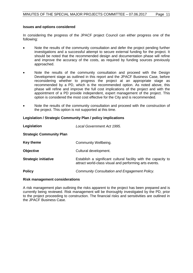#### **Issues and options considered**

In considering the progress of the JPACF project Council can either progress one of the following:

- Note the results of the community consultation and defer the project pending further investigations and a successful attempt to secure external funding for the project. It should be noted that the recommended design and documentation phase will refine and improve the accuracy of the costs, as required by funding sources previously approached.
- Note the results of the community consultation and proceed with the Design Development stage as outlined in this report and the JPACF Business Case, before reconsidering whether to progress the project at an appropriate stage as recommended by a PD, which is the recommended option. As noted above, this phase will refine and improve the full cost implications of the project and with the appointment of a PD provide independent, expert management of the project. This option is considered the most cost effective for the City and is recommended.
- Note the results of the community consultation and proceed with the construction of the project. This option is not supported at this time.

#### **Legislation / Strategic Community Plan / policy implications**

| Legislation                     | Local Government Act 1995.                                                                                               |
|---------------------------------|--------------------------------------------------------------------------------------------------------------------------|
| <b>Strategic Community Plan</b> |                                                                                                                          |
| <b>Key theme</b>                | Community Wellbeing.                                                                                                     |
| <b>Objective</b>                | Cultural development.                                                                                                    |
| <b>Strategic initiative</b>     | Establish a significant cultural facility with the capacity to<br>attract world-class visual and performing arts events. |
| <b>Policy</b>                   | Community Consultation and Engagement Policy.                                                                            |

#### **Risk management considerations**

A risk management plan outlining the risks apparent to the project has been prepared and is currently being reviewed. Risk management will be thoroughly investigated by the PD, prior to the project proceeding to construction. The financial risks and sensitivities are outlined in the JPACF Business Case.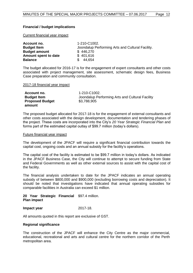## **Financial / budget implications**

Current financial year impact

| Account no.          | 1-210-C1002.                                     |
|----------------------|--------------------------------------------------|
| <b>Budget Item</b>   | Joondalup Performing Arts and Cultural Facility. |
| <b>Budget amount</b> | \$446,270                                        |
| Amount spent to date | \$401,616                                        |
| <b>Balance</b>       | 44.654                                           |

The budget allocated for 2016-17 is for the engagement of expert consultants and other costs associated with project management, site assessment, schematic design fees, Business Case preparation and community consultation.

2017-18 financial year impact

| Account no.            | 1-210-C1002.                                    |
|------------------------|-------------------------------------------------|
| <b>Budget Item</b>     | Joondalup Performing Arts and Cultural Facility |
| <b>Proposed Budget</b> | \$3,788,905                                     |
| amount                 |                                                 |

The proposed budget allocated for 2017-18 is for the engagement of external consultants and other costs associated with the design development, documentation and tendering phases of the project. These costs are incorporated into the City's *20 Year Strategic Financial Plan* and forms part of the estimated capital outlay of \$99.7 million (today's dollars).

#### Future financial year impact

The development of the JPACF will require a significant financial contribution towards the capital cost, ongoing costs and an annual subsidy for the facility's operations.

The capital cost of the facility is estimated to be \$99.7 million in today's dollars. As indicated in the JPACF Business Case, the City will continue to attempt to secure funding from State and Federal Governments as well as other external sources to assist with the capital cost of the facility.

The financial analysis undertaken to date for the JPACF indicates an annual operating subsidy of between \$800,000 and \$900,000 (excluding borrowing costs and depreciation). It should be noted that investigations have indicated that annual operating subsidies for comparable facilities in Australia can exceed \$1 million.

#### **20 Year Strategic Financial**  \$97.4 million. **Plan impact**

#### **Impact year** 2017-18.

All amounts quoted in this report are exclusive of GST.

#### **Regional significance**

The construction of the JPACF will enhance the City Centre as the major commercial, educational, recreational and arts and cultural centre for the northern corridor of the Perth metropolitan area.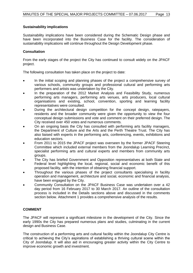## **Sustainability implications**

Sustainability implications have been considered during the Schematic Design phase and have been incorporated into the Business Case for the facility. The consideration of sustainability implications will continue throughout the Design Development phase.

#### **Consultation**

From the early stages of the project the City has continued to consult widely on the JPACF project.

The following consultation has taken place on the project to date:

- In the initial scoping and planning phases of the project a comprehensive survey of various schools, community groups and professional cultural and performing arts performers and artists was undertaken by the City.
- In the preparation of the 2012 Market Analysis and Feasibility Study, numerous performing arts managers, performing arts venues, arts producers, local cultural organisations and existing, school, convention, sporting and learning facility representatives were consulted.
- During the architectural design competition for the concept design, ratepayers, residents and the broader community were given the opportunity to view the four conceptual design submissions and vote and comment on their preferred design. The City received over 450 votes and numerous comments.
- On an ongoing basis the City has consulted with performing arts facility managers, the Department of Culture and the Arts and the Perth Theatre Trust. The City has also liaised with experts in the performing arts, conferencing, events, exhibitions and education sectors.
- From 2011 to 2015 the JPACF project was overseen by the former JPACF Steering Committee which included external members from the Joondalup Learning Precinct, specialist performing arts and cultural experts and members from community arts groups.
- The City has briefed Government and Opposition representatives at both State and Federal level highlighting the local, regional, social and economic benefit of this proposed facility, with the intention of obtaining financial support.
- Throughout the various phases of the project consultants specialising in facility operation and management, architecture and social, economic and financial analysis, have been engaged by the City.
- Community Consultation on the JPACF Business Case was undertaken over a 42 day period from 16 February 2017 to 30 March 2017. An outline of the consultation process is included in the Details sections above and discussed in the comments section below. Attachment 1 provides a comprehensive analysis of the results.

## **COMMENT**

The JPACF will represent a significant milestone in the development of the City. Since the early 1990s the City has prepared numerous plans and studies, culminating in the current design and Business Case.

The construction of a performing arts and cultural facility within the Joondalup City Centre is critical to achieving the City's aspirations of establishing a thriving cultural scene within the City of Joondalup. It will also aid in encouraging greater activity within the City Centre to improve economic growth and investment.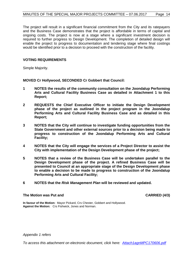The project will result in a significant financial commitment from the City and its ratepayers and the Business Case demonstrates that the project is affordable in terms of capital and ongoing costs. The project is now at a stage where a significant investment decision is required to further progress to Design Development. The completion of detailed design will enable the project to progress to documentation and tendering stage where final costings would be identified prior to a decision to proceed with the construction of the facility.

## **VOTING REQUIREMENTS**

Simple Majority.

**MOVED Cr Hollywood, SECONDED Cr Gobbert that Council:**

- **1 NOTES the results of the community consultation on the Joondalup Performing Arts and Cultural Facility Business Case as detailed in Attachment 1 to this Report;**
- **2 REQUESTS the Chief Executive Officer to initiate the Design Development phase of the project as outlined in the project program in the Joondalup Performing Arts and Cultural Facility Business Case and as detailed in this Report;**
- **3 NOTES that the City will continue to investigate funding opportunities from the State Government and other external sources prior to a decision being made to progress to construction of the Joondalup Performing Arts and Cultural Facility;**
- **4 NOTES that the City will engage the services of a Project Director to assist the City with implementation of the Design Development phase of the project;**
- **5 NOTES that a review of the Business Case will be undertaken parallel to the Design Development phase of the project. A refined Business Case will be presented to Council at an appropriate stage of the Design Development phase to enable a decision to be made to progress to construction of the Joondalup Performing Arts and Cultural Facility;**
- **6 NOTES that the** *Risk Management Plan* **will be reviewed and updated.**

#### The Motion was Put and **CARRIED** (4/3)

**In favour of the Motion:** Mayor Pickard, Crs Chester, Gobbert and Hollywood. **Against the Motion:** Crs Fishwick, Jones and Norman.

*Appendix 1 refers*

*[To access this attachment on electronic document, click here: Attach1agnMPC170606.pdf](http://www.joondalup.wa.gov.au/files/committees/MAPC/2017/Attach1agnMPC170606.pdf)*